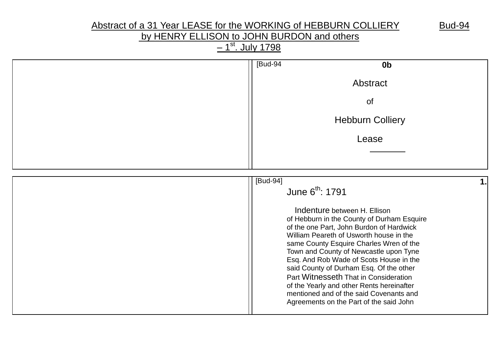# Abstract of a 31 Year LEASE for the WORKING of HEBBURN COLLIERY Bud-94

# by HENRY ELLISON to JOHN BURDON and others

<u>– 1<sup>st</sup>. July 1798</u>

| [Bud-94<br>0 <sub>b</sub>                                                                                                                                                                                                                                                                                                                                                                                                                                                                                                                                    |
|--------------------------------------------------------------------------------------------------------------------------------------------------------------------------------------------------------------------------------------------------------------------------------------------------------------------------------------------------------------------------------------------------------------------------------------------------------------------------------------------------------------------------------------------------------------|
| Abstract                                                                                                                                                                                                                                                                                                                                                                                                                                                                                                                                                     |
| of                                                                                                                                                                                                                                                                                                                                                                                                                                                                                                                                                           |
| <b>Hebburn Colliery</b>                                                                                                                                                                                                                                                                                                                                                                                                                                                                                                                                      |
| Lease                                                                                                                                                                                                                                                                                                                                                                                                                                                                                                                                                        |
|                                                                                                                                                                                                                                                                                                                                                                                                                                                                                                                                                              |
| [Bud-94]<br>1.<br>June 6th: 1791<br>Indenture between H. Ellison<br>of Hebburn in the County of Durham Esquire<br>of the one Part, John Burdon of Hardwick<br>William Peareth of Usworth house in the<br>same County Esquire Charles Wren of the<br>Town and County of Newcastle upon Tyne<br>Esq. And Rob Wade of Scots House in the<br>said County of Durham Esq. Of the other<br>Part Witnesseth That in Consideration<br>of the Yearly and other Rents hereinafter<br>mentioned and of the said Covenants and<br>Agreements on the Part of the said John |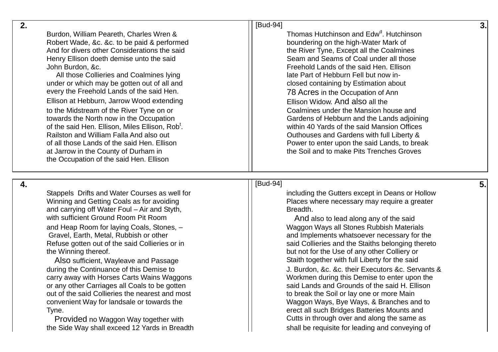| 2.                                                                                                                                                                                                                                                                                                                                                                                                                                                                                                                                                                                                                                                                                                                             | [Bud-94]                                                                                                                                                                                                                                                                                                                                                                                                                                                                                                                                                                                                                                                               |  |
|--------------------------------------------------------------------------------------------------------------------------------------------------------------------------------------------------------------------------------------------------------------------------------------------------------------------------------------------------------------------------------------------------------------------------------------------------------------------------------------------------------------------------------------------------------------------------------------------------------------------------------------------------------------------------------------------------------------------------------|------------------------------------------------------------------------------------------------------------------------------------------------------------------------------------------------------------------------------------------------------------------------------------------------------------------------------------------------------------------------------------------------------------------------------------------------------------------------------------------------------------------------------------------------------------------------------------------------------------------------------------------------------------------------|--|
| Burdon, William Peareth, Charles Wren &<br>Robert Wade, &c. &c. to be paid & performed<br>And for divers other Considerations the said<br>Henry Ellison doeth demise unto the said<br>John Burdon, &c.<br>All those Collieries and Coalmines lying<br>under or which may be gotten out of all and<br>every the Freehold Lands of the said Hen.<br>Ellison at Hebburn, Jarrow Wood extending<br>to the Midstream of the River Tyne on or<br>towards the North now in the Occupation<br>of the said Hen. Ellison, Miles Ellison, Rob <sup>t</sup> .<br>Railston and William Falla And also out<br>of all those Lands of the said Hen. Ellison<br>at Jarrow in the County of Durham in<br>the Occupation of the said Hen. Ellison | Thomas Hutchinson and Edw <sup>d</sup> , Hutchinson<br>boundering on the high-Water Mark of<br>the River Tyne, Except all the Coalmines<br>Seam and Seams of Coal under all those<br>Freehold Lands of the said Hen. Ellison<br>late Part of Hebburn Fell but now in-<br>closed containing by Estimation about<br>78 Acres in the Occupation of Ann<br>Ellison Widow. And also all the<br>Coalmines under the Mansion house and<br>Gardens of Hebburn and the Lands adjoining<br>within 40 Yards of the said Mansion Offices<br>Outhouses and Gardens with full Liberty &<br>Power to enter upon the said Lands, to break<br>the Soil and to make Pits Trenches Groves |  |

[Bud

**4 .**

Stappels Drifts and Water Courses as well fo and carrying off Water Foul – Air and Styth, **Brown Contains the Containt Containst** Breadth. with sufficient Ground Room Pit Room And also to lead along any of the said and Heap Room for laying Coals, Stones, Refuse gotten out of the said Collieries or in the Winning thereof. but not for the Use of any other Colliery or

out of the said Collieries the nearest and most to the soil or lay one or more Main Tyne. erect all such Bridges Batteries Mounts and

the Side Way shall exceed 12 Yards in Breadth shall be requisite for leading and conveying of

# -94] **5.**  including the Gutters except in Deans or Hollow Winning and Getting Coals as for avoiding Places where necessary may require a greater

– Waggon Ways all Stones Rubbish Materials Gravel, Earth, Metal, Rubbish or other and Implements whatsoever necessary for the said Collieries and the Staiths belonging thereto Also sufficient. Wayleave and Passage Staith together with full Liberty for the said during the Continuance of this Demise to  $\vert$  J. Burdon, &c. &c. their Executors &c. Servants & carry away with Horses Carts Wains Waggons Manuscull Morkmen during this Demise to enter upon the or any other Carriages all Coals to be gotten said Lands and Grounds of the said H. Ellison convenient Way for landsale or towards the  $\vert \vert$  Waggon Ways, Bye Ways, & Branches and to Provided no Waggon Way together with Frovided in through over and along the same as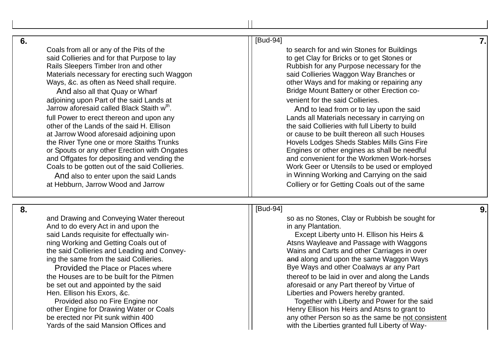**6 .**

**8 .**

Coals from all or any of the Pits of the the to search for and win Stones for Buildings said Collieries and for that Purpose to lay the said Collieries and for that Purpose to lay to get Clay for Bricks or to get Stones or Rails Sleepers Timber Iron and other Rubbish for any Purpose necessary for the Materials necessary for erecting such Waggon said Collieries Waggon Way Branches or Ways, &c. as often as Need shall require.  $\vert$  | other Ways and for making or repairing any And also all that Quay or Wharf **Bridge Mount Battery or other Erection co**adioining upon Part of the said Lands at venient for the said Collieries. Jarrow aforesaid called Black Staith w<sup>th</sup>. full Power to erect thereon and upon any Lands all Materials necessary in carrying on other of the Lands of the said H. Ellison the said Collieries with full Liberty to build at Jarrow Wood aforesaid adjoining upon **or the substitute of cause to be built thereon all such Houses** the River Tyne one or more Staiths Trunks Hovels Lodges Sheds Stables Mills Gins Fire

and Drawing and Conveying Water thereout so so as no Stones, Clay or Rubbish be sought for And to do every Act in and upon the interest and in any Plantation. said Lands requisite for effectually winning Working and Getting Coals out of Atsns Wayleave and Passage with Waggons the said Collieries and Leading and Convey

and Offgates for depositing and vending the

the Houses are to be built for the Pitmen the thereof to be laid in over and along the Lands Hen. Ellison his Exors, &c. Liberties and Powers hereby granted .

#### [Bud -94] **7.**

. And to lead from or to lay upon the said or Spouts or any other Erection with Ongates **Engines** Engines or other engines as shall be needful and convenient for the Workmen Work-horses Coals to be gotten out of the said Collieries. Work Geer or Utensils to be used or employed And also to enter upon the said Lands in Winning Working and Carrying on the said at Hebburn, Jarrow Wood and Jarrow Colliery or for Getting Coals out of the same

#### [Bud -94] **9.**

Except Liberty unto H. Ellison his Heirs & Wains and Carts and other Carriages in over ing the same from the said Collieries.  $\vert$  and along and upon the same Waggon Ways Provided the Place or Places where **Bye Ways and other Coalways ar any Part** 

be set out and appointed by the said and aforesaid or any Part thereof by Virtue of

Provided also no Fire Engine nor The Said Channel Channel Together with Liberty and Power for the said other Engine for Drawing Water or Coals **Henry Ellison his Heirs and Atsns to grant to** Henry Ellison his Heirs and Atsns to grant to be erected nor Pit sunk within 400 **be erected nor Pit sunk within 400** any other Person so as the same be not consistent varies of the said Mansion Offices and **the same be not consistent** Yards of the said Mansion Offices and with the Liberties granted full Liberty of Way-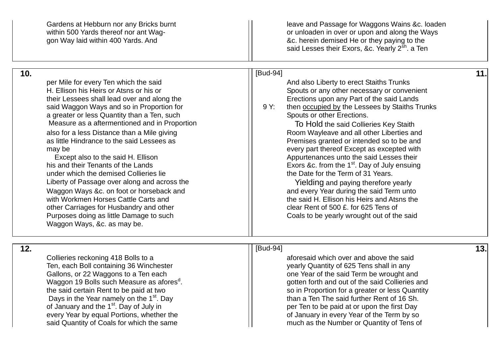|     | Gardens at Hebburn nor any Bricks burnt<br>within 500 Yards thereof nor ant Wag-<br>gon Way laid within 400 Yards. And                                                                                                                                                                                                                                                                                                                                                                                                                                                                                                                                                                                                                                             | leave and Passage for Waggons Wains & c. loaden<br>or unloaden in over or upon and along the Ways<br>&c. herein demised He or they paying to the<br>said Lesses their Exors, &c. Yearly 2 <sup>sh</sup> . a Ten                                                                                                                                                                                                                                                                                                                                                                                                                                                                                                                                                                                   |     |
|-----|--------------------------------------------------------------------------------------------------------------------------------------------------------------------------------------------------------------------------------------------------------------------------------------------------------------------------------------------------------------------------------------------------------------------------------------------------------------------------------------------------------------------------------------------------------------------------------------------------------------------------------------------------------------------------------------------------------------------------------------------------------------------|---------------------------------------------------------------------------------------------------------------------------------------------------------------------------------------------------------------------------------------------------------------------------------------------------------------------------------------------------------------------------------------------------------------------------------------------------------------------------------------------------------------------------------------------------------------------------------------------------------------------------------------------------------------------------------------------------------------------------------------------------------------------------------------------------|-----|
| 10. | per Mile for every Ten which the said<br>H. Ellison his Heirs or Atsns or his or<br>their Lessees shall lead over and along the<br>said Waggon Ways and so in Proportion for<br>a greater or less Quantity than a Ten, such<br>Measure as a aftermentioned and in Proportion<br>also for a less Distance than a Mile giving<br>as little Hindrance to the said Lessees as<br>may be<br>Except also to the said H. Ellison<br>his and their Tenants of the Lands<br>under which the demised Collieries lie<br>Liberty of Passage over along and across the<br>Waggon Ways &c. on foot or horseback and<br>with Workmen Horses Cattle Carts and<br>other Carriages for Husbandry and other<br>Purposes doing as little Damage to such<br>Waggon Ways, &c. as may be. | [Bud-94]<br>And also Liberty to erect Staiths Trunks<br>Spouts or any other necessary or convenient<br>Erections upon any Part of the said Lands<br>9 Y:<br>then occupied by the Lessees by Staiths Trunks<br>Spouts or other Erections.<br>To Hold the said Collieries Key Staith<br>Room Wayleave and all other Liberties and<br>Premises granted or intended so to be and<br>every part thereof Except as excepted with<br>Appurtenances unto the said Lesses their<br>Exors &c. from the 1 <sup>st</sup> . Day of July ensuing<br>the Date for the Term of 31 Years.<br>Yielding and paying therefore yearly<br>and every Year during the said Term unto<br>the said H. Ellison his Heirs and Atsns the<br>clear Rent of 500 £. for 625 Tens of<br>Coals to be yearly wrought out of the said | 11. |
| 12. | Collieries reckoning 418 Bolls to a<br>Ten, each Boll containing 36 Winchester<br>Gallons, or 22 Waggons to a Ten each<br>Waggon 19 Bolls such Measure as afores <sup>d</sup><br>the said certain Rent to be paid at two<br>Days in the Year namely on the 1 <sup>st</sup> . Day<br>of January and the 1 <sup>st</sup> . Day of July in<br>every Year by equal Portions, whether the<br>said Quantity of Coals for which the same                                                                                                                                                                                                                                                                                                                                  | [Bud-94]<br>aforesaid which over and above the said<br>yearly Quantity of 625 Tens shall in any<br>one Year of the said Term be wrought and<br>gotten forth and out of the said Collieries and<br>so in Proportion for a greater or less Quantity<br>than a Ten The said further Rent of 16 Sh.<br>per Ten to be paid at or upon the first Day<br>of January in every Year of the Term by so<br>much as the Number or Quantity of Tens of                                                                                                                                                                                                                                                                                                                                                         | 13. |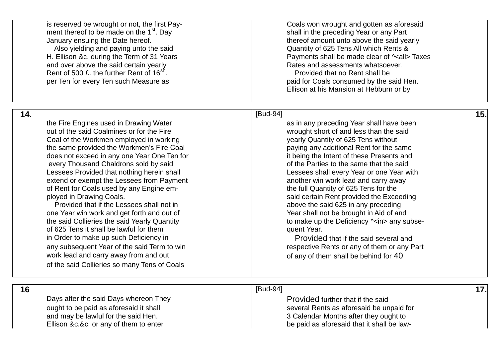is reserved be wrought or not, the first Pay ment thereof to be made on the  $1<sup>st</sup>$ . Day shall in the preceding Year or any Part January ensuing the Date hereof. The said yearly state of the said yearly state of the said yearly Also vielding and paying unto the said  $\parallel$  Quantity of 625 Tens All which Rents & and over above the said certain yearly **Rates** and assessments whatsoever. Rent of 500  $\pounds$ , the further Rent of 16<sup>sh</sup>.

per Ten for every Ten such Measure as paid for Coals consumed by the said Hen.

Coals won wrought and gotten as aforesaid H. Ellison &c. during the Term of 31 Years Payments shall be made clear of  $\sim$ all> Taxes . Provided that no Rent shall be

Ellison at his Mansion at Hebburn or by

### [Bud -94] **15.**

the full Quantity of 625 Tens for the Provided that if the Lessees shall not in above the said 625 in any preceding

the Fire Engines used in Drawing Water **and Contract Contract Contract Contract** as in any preceding Year shall have been out of the said Coalmines or for the Fire wrought short of and less than the said Coal of the Workmen employed in working yearly Quantity of 625 Tens without the same provided the Workmen's Fire Coal paying any additional Rent for the same does not exceed in any one Year One Ten for **it contains the Intent of these Presents** and every Thousand Chaldrons sold by said **of the Parties to the same that the said** Lessees Provided that nothing herein shall Lessees shall every Year or one Year with extend or exempt the Lessees from Payment and Textend or exempt the Lessees from Payment of Rent for Coals used by any Engine em ployed in Drawing Coals. The said certain Rent provided the Exceeding

one Year win work and get forth and out of  $\vert$  Year shall not be brought in Aid of and the said Collieries the said Yearly Quantity the said of the Deficiency ^<in> any subseof 625 Tens it shall be lawful for them quent Year. in Order to make up such Deficiency in Arror Connection Connection Connection Provided that if the said several and any subsequent Year of the said Term to win respective Rents or any of them or any Part work lead and carry away from and out  $\vert$  of any of them shall be behind for 40 of the said Collieries so many Tens of Coals

Days after the said Days whereon They **Provided further that if the said** and may be lawful for the said Hen.  $\vert$  3 Calendar Months after they ought to Ellison &c.&c. or any of them to enter

## **16** [Bud

ought to be paid as aforesaid it shall several Rents as aforesaid be unpaid for or any of them to enter **be paid as aforesaid that it shall be law-**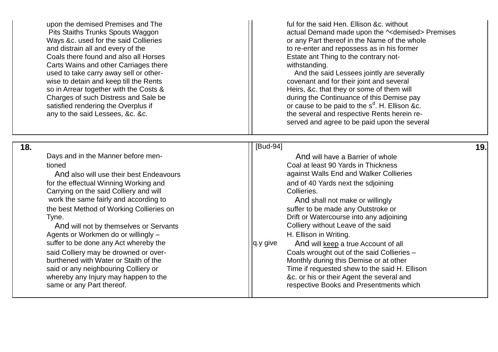and distrain all and every of the Coals there found and also all Horses **Example 20** Testate ant Thing to the contrary not-Carts Wains and other Carriages there with the withstanding. used to take carry away sell or other satisfied rendering the Overplus if

 **18 .**

upon the demised Premises and The  $\vert$  full for the said Hen. Ellison &c. without Pits Staiths Trunks Spouts Waggon and The Mathematic Community actual Demand made upon the  $\sim$ demised> Premises Ways &c. used for the said Collieries **or any Part thereof in the Name of the whole** to re-enter and repossess as in his former

And the said Lessees jointly are severally wise to detain and keep till the Rents covenant and for their joint and several so in Arrear together with the Costs & Heirs, &c. that they or some of them will Charges of such Distress and Sale be during the Continuance of this Demise pay <sup>d</sup>. H. Ellison &c. any to the said Lessees, &c. &c. the several and respective Rents herein reserved and agree to be paid upon the several

| Days and in the Manner before men-                                                                                                                                                                                                                                                                                                                                                                                                                                                                                                                                      | And will have a Barrier of whole                                                                                                                                                                                                                                                                                                                                                                                                                                                                                                                                                                |
|-------------------------------------------------------------------------------------------------------------------------------------------------------------------------------------------------------------------------------------------------------------------------------------------------------------------------------------------------------------------------------------------------------------------------------------------------------------------------------------------------------------------------------------------------------------------------|-------------------------------------------------------------------------------------------------------------------------------------------------------------------------------------------------------------------------------------------------------------------------------------------------------------------------------------------------------------------------------------------------------------------------------------------------------------------------------------------------------------------------------------------------------------------------------------------------|
| tioned<br>And also will use their best Endeavours<br>for the effectual Winning Working and<br>Carrying on the said Colliery and will<br>work the same fairly and according to<br>the best Method of Working Collieries on<br>Tyne.<br>And will not by themselves or Servants<br>Agents or Workmen do or willingly -<br>suffer to be done any Act whereby the<br>q.y give<br>said Colliery may be drowned or over-<br>burthened with Water or Staith of the<br>said or any neighbouring Colliery or<br>whereby any Injury may happen to the<br>same or any Part thereof. | Coal at least 90 Yards in Thickness<br>against Walls End and Walker Collieries<br>and of 40 Yards next the sdjoining<br>Collieries.<br>And shall not make or willingly<br>suffer to be made any Outstroke or<br>Drift or Watercourse into any adjoining<br>Colliery without Leave of the said<br>H. Ellison in Writing.<br>And will keep a true Account of all<br>Coals wrought out of the said Collieries -<br>Monthly during this Demise or at other<br>Time if requested shew to the said H. Ellison<br>&c. or his or their Agent the several and<br>respective Books and Presentments which |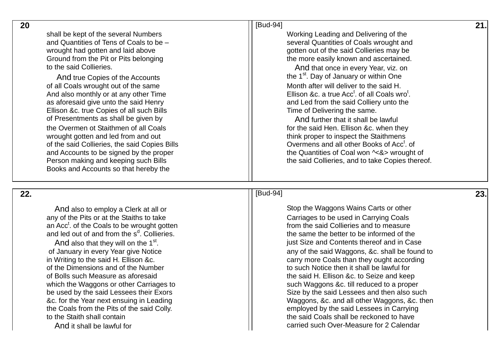shall be kept of the several Numbers Numbers Numbers Working Leading and Delivering of the and Quantities of Tens of Coals to be wrought had gotten and laid above gotten but of the said Collieries may be to the said Collieries. The said Collieries and the said Collieries. And that once in every Year, viz. on

of all Coals wrought out of the same And also monthly or at any other Time as aforesaid give unto the said Henry and Led from the said Colliery unto the Ellison &c. true Copies of all such Bills Time of Delivering the same. of Presentments as shall be given b the Overmen ot Staithmen of all Coals for the said Hen. Ellison &c. when they wrought gotten and led from and out think proper to inspect the Staithmens of the said Collieries, the said Copies Bills Books and Accounts so that hereby the

## **20 I** [Bud -94] **21.**

– several Quantities of Coals wrought and Ground from the Pit or Pits belonging the more easily known and ascertained.

And true Copies of the Accounts and true Copies of the Accounts of the 1st. Day of January or within One and H<br>All Coals wrought out of the same all Coals wrought out of the said H.  $t$ . of all Coals wro $t$ .

And further that it shall be lawful Overmens and all other Books of Acc<sup>t</sup>. of and Accounts to be signed by the proper the state of Coal won  $\sim$ &> wrought of Person making and keeping such Bills the said Collieries, and to take Copies thereof.

## **22 .**

any of the Pits or at the Staiths to take Carriages to be used in Carrying Coals an Acc<sup>t</sup>. of the Coals to be wrought gotten and led out of and from the  $s^d$ 

And also that they will on the  $1<sup>st</sup>$ . of the Dimensions and of the Number to such Notice then it shall be lawful for And it shall be lawful for

## [Bud

And also to employ a Clerk at all or Stop the Waggons Wains Carts or other from the said Collieries and to measure the same the better to be informed of the just Size and Contents thereof and in Case of January in every Year give Notice any of the said Waggons, &c. shall be found to in Writing to the said H. Ellison &c. **carry more Coals than they ought according** of Bolls such Measure as aforesaid the said H. Ellison &c. to Seize and keep which the Waggons or other Carriages to such Waggons &c. till reduced to a proper be used by the said Lessees their Exors Size by the said Lessees and then also such &c. for the Year next ensuing in Leading Waggons, &c. and all other Waggons, &c. then the Coals from the Pits of the said Colly. employed by the said Lessees in Carrying to the Staith shall contain to the said Coals shall be reckoned to have carried such Over-Measure for 2 Calendar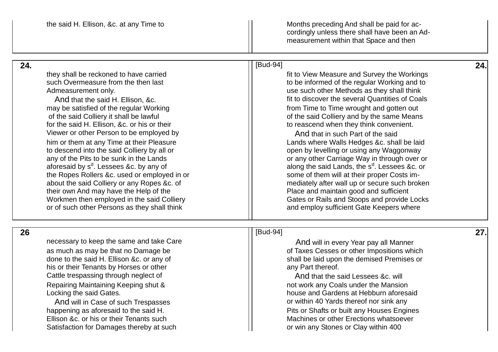the said H. Ellison, &c. at any Time to say and the Months preceding And shall be paid for accordingly unless there shall have been an Ad measurement within that Space and then

| 24. |                                                                                                                                                                                                                                                                                                                                                                                                                                                                                                                                                                                                                                                                                                                                                                  | [Bud-94]                                                                                                                                                                                                                                                                                                                                                                                                                                                                                                                                                                                                                                                                                                                                                                                                           | 24. |
|-----|------------------------------------------------------------------------------------------------------------------------------------------------------------------------------------------------------------------------------------------------------------------------------------------------------------------------------------------------------------------------------------------------------------------------------------------------------------------------------------------------------------------------------------------------------------------------------------------------------------------------------------------------------------------------------------------------------------------------------------------------------------------|--------------------------------------------------------------------------------------------------------------------------------------------------------------------------------------------------------------------------------------------------------------------------------------------------------------------------------------------------------------------------------------------------------------------------------------------------------------------------------------------------------------------------------------------------------------------------------------------------------------------------------------------------------------------------------------------------------------------------------------------------------------------------------------------------------------------|-----|
|     | they shall be reckoned to have carried<br>such Overmeasure from the then last<br>Admeasurement only.<br>And that the said H. Ellison, &c.<br>may be satisfied of the regular Working<br>of the said Colliery it shall be lawful<br>for the said H. Ellison, &c. or his or their<br>Viewer or other Person to be employed by<br>him or them at any Time at their Pleasure<br>to descend into the said Colliery by all or<br>any of the Pits to be sunk in the Lands<br>aforesaid by s <sup>d</sup> . Lessees &c. by any of<br>the Ropes Rollers &c. used or employed in or<br>about the said Colliery or any Ropes &c. of<br>their own And may have the Help of the<br>Workmen then employed in the said Colliery<br>or of such other Persons as they shall think | fit to View Measure and Survey the Workings<br>to be informed of the regular Working and to<br>use such other Methods as they shall think<br>fit to discover the several Quantities of Coals<br>from Time to Time wrought and gotten out<br>of the said Colliery and by the same Means<br>to reascend when they think convenient.<br>And that in such Part of the said<br>Lands where Walls Hedges &c. shall be laid<br>open by levelling or using any Waggonway<br>or any other Carriage Way in through over or<br>along the said Lands, the s <sup>d</sup> . Lessees &c. or<br>some of them will at their proper Costs im-<br>mediately after wall up or secure such broken<br>Place and maintain good and sufficient<br>Gates or Rails and Stoops and provide Locks<br>and employ sufficient Gate Keepers where |     |
| 26  | necessary to keep the same and take Care<br>as much as may be that no Damage be<br>done to the said H. Ellison &c. or any of<br>his or their Tenants by Horses or other<br>Cattle trespassing through neglect of<br>Repairing Maintaining Keeping shut &<br>Locking the said Gates.<br>And will in Case of such Trespasses<br>happening as aforesaid to the said H.                                                                                                                                                                                                                                                                                                                                                                                              | [Bud-94]<br>And will in every Year pay all Manner<br>of Taxes Cesses or other Impositions which<br>shall be laid upon the demised Premises or<br>any Part thereof.<br>And that the said Lessees &c. will<br>not work any Coals under the Mansion<br>house and Gardens at Hebburn aforesaid<br>or within 40 Yards thereof nor sink any<br>Pits or Shafts or built any Houses Engines                                                                                                                                                                                                                                                                                                                                                                                                                                | 27. |
|     | Ellison &c. or his or their Tenants such<br>Satisfaction for Damages thereby at such                                                                                                                                                                                                                                                                                                                                                                                                                                                                                                                                                                                                                                                                             | Machines or other Erections whatsoever<br>or win any Stones or Clay within 400                                                                                                                                                                                                                                                                                                                                                                                                                                                                                                                                                                                                                                                                                                                                     |     |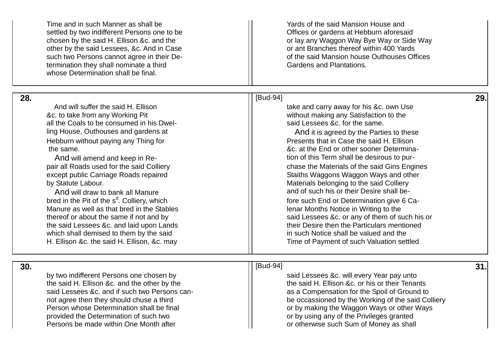|     | Time and in such Manner as shall be<br>settled by two indifferent Persons one to be<br>chosen by the said H. Ellison &c. and the<br>other by the said Lessees, &c. And in Case<br>such two Persons cannot agree in their De-<br>termination they shall nominate a third<br>whose Determination shall be final.                                                                                                                                                                                                                                                                                                                                                                                | Yards of the said Mansion House and<br>Offices or gardens at Hebburn aforesaid<br>or lay any Waggon Way Bye Way or Side Way<br>or ant Branches thereof within 400 Yards<br>of the said Mansion house Outhouses Offices<br><b>Gardens and Plantations.</b>                                                                                                                                                                                                                                                                                                                                                                                                                                                                                                                            |     |
|-----|-----------------------------------------------------------------------------------------------------------------------------------------------------------------------------------------------------------------------------------------------------------------------------------------------------------------------------------------------------------------------------------------------------------------------------------------------------------------------------------------------------------------------------------------------------------------------------------------------------------------------------------------------------------------------------------------------|--------------------------------------------------------------------------------------------------------------------------------------------------------------------------------------------------------------------------------------------------------------------------------------------------------------------------------------------------------------------------------------------------------------------------------------------------------------------------------------------------------------------------------------------------------------------------------------------------------------------------------------------------------------------------------------------------------------------------------------------------------------------------------------|-----|
| 28. | And will suffer the said H. Ellison<br>&c. to take from any Working Pit<br>all the Coals to be consumed in his Dwel-<br>ling House, Outhouses and gardens at<br>Hebburn without paying any Thing for<br>the same.<br>And will amend and keep in Re-<br>pair all Roads used for the said Colliery<br>except public Carriage Roads repaired<br>by Statute Labour.<br>And will draw to bank all Manure<br>bred in the Pit of the s <sup>d</sup> . Colliery, which<br>Manure as well as that bred in the Stables<br>thereof or about the same if not and by<br>the said Lessees &c. and laid upon Lands<br>which shall demised to them by the said<br>H. Ellison &c. the said H. Ellison, &c. may | [Bud-94]<br>take and carry away for his &c. own Use<br>without making any Satisfaction to the<br>said Lessees &c. for the same.<br>And it is agreed by the Parties to these<br>Presents that in Case the said H. Ellison<br>&c. at the End or other sooner Determina-<br>tion of this Term shall be desirous to pur-<br>chase the Materials of the said Gins Engines<br>Staiths Waggons Waggon Ways and other<br>Materials belonging to the said Colliery<br>and of such his or their Desire shall be-<br>fore such End or Determination give 6 Ca-<br>lenar Months Notice in Writing to the<br>said Lessees &c. or any of them of such his or<br>their Desire then the Particulars mentioned<br>in such Notice shall be valued and the<br>Time of Payment of such Valuation settled | 29. |
| 30. | by two indifferent Persons one chosen by<br>the said H. Ellison &c. and the other by the<br>said Lessees &c. and if such two Persons can-<br>not agree then they should chuse a third<br>Person whose Determination shall be final<br>provided the Determination of such two<br>Persons be made within One Month after                                                                                                                                                                                                                                                                                                                                                                        | [Bud-94]<br>said Lessees &c. will every Year pay unto<br>the said H. Ellison &c. or his or their Tenants<br>as a Compensation for the Spoil of Ground to<br>be occassioned by the Working of the said Colliery<br>or by making the Waggon Ways or other Ways<br>or by using any of the Privileges granted<br>or otherwise such Sum of Money as shall                                                                                                                                                                                                                                                                                                                                                                                                                                 | 31. |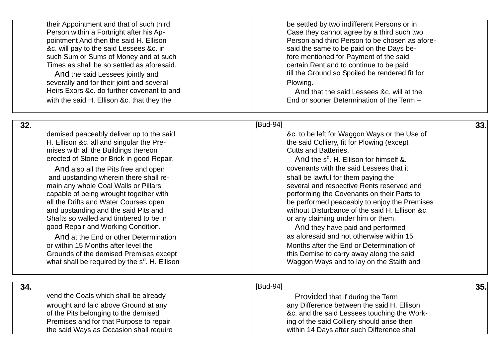Person within a Fortnight after his Ap-&c. will pay to the said Lessees &c. in said the same to be paid on the Days besuch Sum or Sums of Money and at such fore mentioned for Payment of the said Times as shall be so settled as aforesaid.

severally and for their joint and several **Plomatic Equation** Plowing. Heirs Exors &c. do further covenant to and And that the said Lessees &c. will at the with the said H. Ellison &c. that they the

their Appointment and that of such third be settled by two indifferent Persons or in Case they cannot agree by a third such two pointment And then the said H. Ellison New York (Person and third Person to be chosen as aforecertain Rent and to continue to be paid And the said Lessees jointly and the Ground so Spoiled be rendered fit for

End or sooner Determination of the Term -

 **32**

H. Ellison &c. all and singular the Pre mises with all the Buildings thereon erected of Stone or Brick in good Repair.

and upstanding wherein there shall re Shafts so walled and timbered to be in state of the state of any claiming under him or them.

And at the End or other Determination or within 15 Months after level the Months after the End or Determination of Grounds of the demised Premises except This Demise to carry away along the said what shall be required by the  $\mathbf{s}^\text{d}$ 

#### **.** [Budget ] [Budget ] [Budget ] [Budget ] [[Budget ] [[Budget ] [[Budget ] [[Budget ] [[Budget ] [[Budget ] [ -94] **33.**

demised peaceably deliver up to the said  $\vert$  and  $\vert$  and  $\vert$  are  $\vert$  and  $\vert$  are  $\vert$  are  $\vert$  are  $\vert$  are  $\vert$  are  $\vert$  are  $\vert$  are  $\vert$  are  $\vert$  are  $\vert$  are  $\vert$  are  $\vert$  are  $\vert$  are  $\vert$  are  $\vert$  are  $\vert$  are the said Colliery, fit for Plowing (except<br>Cutts and Batteries.

<sup>d</sup>. H. Ellison for himself &. And also all the Pits free and open covenants with the said Lessees that it shall be lawful for them paying the main any whole Coal Walls or Pillars several and respective Rents reserved and capable of being wrought together with performing the Covenants on their Parts to all the Drifts and Water Courses open being be performed peaceably to enjoy the Premises and upstanding and the said Pits and without Disturbance of the said H. Ellison &c.

good Repair and Working Condition.<br>And they have paid and performed<br>And at the End or other Determination<br>And as aforesaid and not otherwise within 15 Waggon Ways and to lay on the Staith and

 **34 .**

vend the Coals which shall be already vend the Coals which shall be already vend the Provided that if during the Term

## [Bud

wrought and laid above Ground at any any any Difference between the said H. Ellison of the Pits belonging to the demised **by the solution of the said Lessees** touching the Work-Premises and for that Purpose to repair inclusion in the said Colliery should arise then the said Ways as Occasion shall require within 14 Days after such Difference shall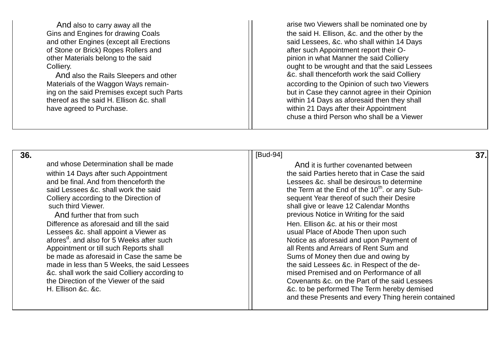of Stone or Brick) Ropes Rollers and after such Appointment report their Oother Materials belong to the said **phinicipal state of the said colliery** pinion in what Manner the said Colliery

thereof as the said H. Ellison &c. shall within 14 Days as aforesaid then they shall have agreed to Purchase. within 21 Days after their Appointment

And also to carry away all the arise two Viewers shall be nominated one by Gins and Engines for drawing Coals the said H. Ellison, &c. and the other by the Gins and Engines for drawing Coals and other Engines (except all Erections said Lessees, &c. who shall within 14 Days Colliery. Colliery. And also the Rails Sleepers and other **And also the Rails Sleepers and other And also the Rails Sleepers and other** Materials of the Waggon Ways remain-<br>  $\vert$  according to the Opinion of such two Viewers ing on the said Premises except such Parts **but in Case they cannot agree in their Opinion** chuse a third Person who shall be a Viewer

 **36.**

and whose Determination shall be made And it is further covenanted between

Difference as aforesaid and till the said  $\vert$   $\vert$  Hen. Ellison &c. at his or their most Lessees &c. shall appoint a Viewer as Unit Communication and Musual Place of Abode Then upon such afores<sup>d</sup>, and also for 5 Weeks after such Appointment or till such Reports shall all Rents and Arrears of Rent Sum and be made as aforesaid in Case the same be  $\vert$  Sums of Money then due and owing by &c. shall work the said Colliery according to

[Bud-94] **37.** 

within 14 Days after such Appointment the said Parties hereto that in Case the said and be final. And from thenceforth the lessees ac. shall be desirous to determine said Lessees &c. shall work the said  $\vert\vert$  the Term at the End of the 10<sup>th</sup>. or any Sub-Colliery according to the Direction of Such their Desire Sequent Year thereof of such their Desire such third Viewer. Such third Viewer. And further that from such previous Notice in Writing for the said Notice as aforesaid and upon Payment of made in less than 5 Weeks, the said Lessees  $\frac{1}{1}$  the said Lessees &c. in Respect of the de-<br>
8. Shall work the said Colliery according to the said Lessees of all the Direction of the Viewer of the said Covenants &c. on the Part of the said Lessees H. Ellison &c. &c. &c. to be performed The Term hereby demised and these Presents and every Thing herein contained